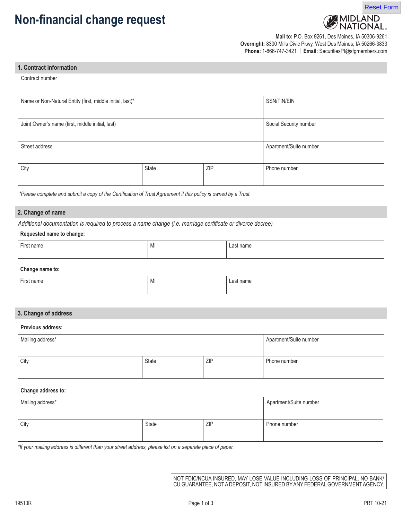# **Non-financial change request**



**Mail to:** P.O. Box 9261, Des Moines, IA 50306-9261 **Overnight:** 8300 Mills Civic Pkwy, West Des Moines, IA 50266-3833 **Phone:** 1-866-747-3421 | **Email:** SecuritiesPI@sfgmembers.com

#### **1. Contract information**

Contract number

| Name or Non-Natural Entity (first, middle initial, last)*<br>SSN/TIN/EIN   |            |              |
|----------------------------------------------------------------------------|------------|--------------|
| Social Security number<br>Joint Owner's name (first, middle initial, last) |            |              |
| Street address<br>Apartment/Suite number                                   |            |              |
| State                                                                      | <b>ZIP</b> | Phone number |
|                                                                            |            |              |

 *\*Please complete and submit a copy of the Certification of Trust Agreement if this policy is owned by a Trust.*

## **2. Change of name**

*Additional documentation is required to process a name change (i.e. marriage certificate or divorce decree)*

#### **Requested name to change:**

| $-$<br>First name | <b>B</b> <i>B</i><br>' MI | Last name |
|-------------------|---------------------------|-----------|
|                   |                           |           |

#### **Change name to:**

| $-$<br>'-irst name | <b>A</b> 41<br>∵ IVII | Last name |
|--------------------|-----------------------|-----------|
|                    |                       |           |

### **3. Change of address**

#### **Previous address:**

| Mailing address* |              | Apartment/Suite number |              |
|------------------|--------------|------------------------|--------------|
| City             | <b>State</b> | ZIP                    | Phone number |

# **Change address to:**

| Mailing address* |       | Apartment/Suite number |              |
|------------------|-------|------------------------|--------------|
| City             | State | <b>ZIP</b>             | Phone number |

*\*If your mailing address is different than your street address, please list on a separate piece of paper.*

NOT FDIC/NCUA INSURED, MAY LOSE VALUE INCLUDING LOSS OF PRINCIPAL, NO BANK/ CU GUARANTEE, NOT A DEPOSIT, NOT INSURED BY ANY FEDERAL GOVERNMENT AGENCY.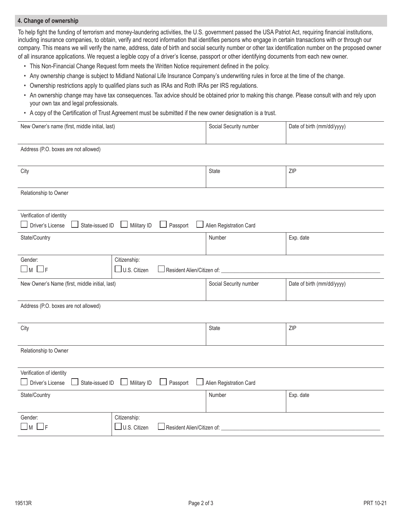# **4. Change of ownership**

To help fight the funding of terrorism and money-laundering activities, the U.S. government passed the USA Patriot Act, requiring financial institutions, including insurance companies, to obtain, verify and record information that identifies persons who engage in certain transactions with or through our company. This means we will verify the name, address, date of birth and social security number or other tax identification number on the proposed owner of all insurance applications. We request a legible copy of a driver's license, passport or other identifying documents from each new owner.

- This Non-Financial Change Request form meets the Written Notice requirement defined in the policy.
- Any ownership change is subject to Midland National Life Insurance Company's underwriting rules in force at the time of the change.
- Ownership restrictions apply to qualified plans such as IRAs and Roth IRAs per IRS regulations.
- An ownership change may have tax consequences. Tax advice should be obtained prior to making this change. Please consult with and rely upon your own tax and legal professionals.
- A copy of the Certification of Trust Agreement must be submitted if the new owner designation is a trust.

| New Owner's name (first, middle initial, last)                                                                           |                                                                               | Social Security number  | Date of birth (mm/dd/yyyy) |
|--------------------------------------------------------------------------------------------------------------------------|-------------------------------------------------------------------------------|-------------------------|----------------------------|
| Address (P.O. boxes are not allowed)                                                                                     |                                                                               |                         |                            |
| City                                                                                                                     |                                                                               | State                   | ZIP                        |
| Relationship to Owner                                                                                                    |                                                                               |                         |                            |
| Verification of identity<br>Driver's License<br>State-issued ID                                                          | Military ID<br>Passport                                                       | Alien Registration Card |                            |
| State/Country                                                                                                            |                                                                               | Number                  | Exp. date                  |
| Citizenship:<br>Gender:<br>$\square$ m $\square$ f<br>$\Box$ U.S. Citizen<br>Resident Alien/Citizen of: ________________ |                                                                               |                         |                            |
| New Owner's Name (first, middle initial, last)                                                                           |                                                                               | Social Security number  | Date of birth (mm/dd/yyyy) |
| Address (P.O. boxes are not allowed)                                                                                     |                                                                               |                         |                            |
| City                                                                                                                     |                                                                               | State                   | ZIP                        |
| Relationship to Owner                                                                                                    |                                                                               |                         |                            |
| Verification of identity<br>Driver's License<br>State-issued ID                                                          | Military ID<br>Passport                                                       | Alien Registration Card |                            |
| State/Country                                                                                                            |                                                                               | Number                  | Exp. date                  |
| Gender:<br>$\Box$ M l<br>__ F                                                                                            | Citizenship:<br>$\Box$ U.S. Citizen<br>$\Box$ Resident Alien/Citizen of: $\_$ |                         |                            |